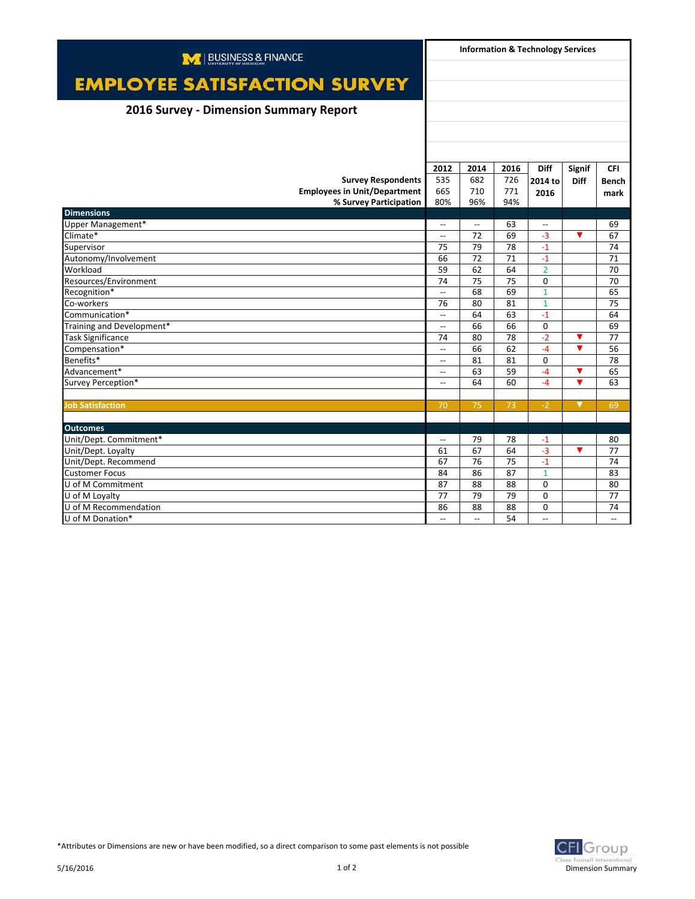| M BUSINESS & FINANCE                   | <b>Information &amp; Technology Services</b> |                          |      |                          |                         |                          |
|----------------------------------------|----------------------------------------------|--------------------------|------|--------------------------|-------------------------|--------------------------|
|                                        |                                              |                          |      |                          |                         |                          |
| <b>EMPLOYEE SATISFACTION SURVEY</b>    |                                              |                          |      |                          |                         |                          |
|                                        |                                              |                          |      |                          |                         |                          |
| 2016 Survey - Dimension Summary Report |                                              |                          |      |                          |                         |                          |
|                                        |                                              |                          |      |                          |                         |                          |
|                                        |                                              |                          |      |                          |                         |                          |
|                                        |                                              |                          |      |                          |                         |                          |
|                                        | 2012                                         | 2014                     | 2016 | <b>Diff</b>              | <b>Signif</b>           | <b>CFI</b>               |
| <b>Survey Respondents</b>              | 535                                          | 682                      | 726  | 2014 to                  | <b>Diff</b>             | <b>Bench</b>             |
| <b>Employees in Unit/Department</b>    | 665                                          | 710                      | 771  | 2016                     |                         | mark                     |
| % Survey Participation                 | 80%                                          | 96%                      | 94%  |                          |                         |                          |
| <b>Dimensions</b>                      |                                              |                          |      |                          |                         |                          |
| Upper Management*                      | $\overline{\phantom{a}}$                     | $\overline{\phantom{0}}$ | 63   | $\overline{\phantom{a}}$ |                         | 69                       |
| Climate*                               | $\overline{\phantom{a}}$                     | 72                       | 69   | $-3$                     | ▼                       | 67                       |
| Supervisor                             | 75                                           | 79                       | 78   | $-1$                     |                         | 74                       |
| Autonomy/Involvement                   | 66                                           | 72                       | 71   | $-1$                     |                         | 71                       |
| Workload                               | 59                                           | 62                       | 64   | $\overline{2}$           |                         | 70                       |
| Resources/Environment                  | 74                                           | 75                       | 75   | $\Omega$                 |                         | 70                       |
| Recognition*                           | $\overline{\phantom{a}}$                     | 68                       | 69   | $\mathbf{1}$             |                         | 65                       |
| Co-workers                             | 76                                           | 80                       | 81   | $\mathbf{1}$             |                         | 75                       |
| Communication*                         | $\overline{\phantom{a}}$                     | 64                       | 63   | $-1$                     |                         | 64                       |
| Training and Development*              | $\overline{\phantom{a}}$                     | 66                       | 66   | $\Omega$                 |                         | 69                       |
| Task Significance                      | 74                                           | 80                       | 78   | $-2$                     | ▼                       | 77                       |
| Compensation*                          | $\overline{\phantom{a}}$                     | 66                       | 62   | $-4$                     | ▼                       | 56                       |
| Benefits*                              | $\overline{\phantom{a}}$                     | 81                       | 81   | $\Omega$                 |                         | 78                       |
| Advancement*                           | $\overline{\phantom{a}}$                     | 63                       | 59   | $-4$                     | ▼                       | 65                       |
| Survey Perception*                     | $\overline{\phantom{a}}$                     | 64                       | 60   | $-4$                     | $\overline{\mathbf{v}}$ | 63                       |
|                                        |                                              |                          |      |                          |                         |                          |
| <b>Job Satisfaction</b>                | 70                                           | 75                       | 73   | $-2$                     | ▼                       | 69                       |
|                                        |                                              |                          |      |                          |                         |                          |
| <b>Outcomes</b>                        |                                              |                          |      |                          |                         |                          |
| Unit/Dept. Commitment*                 | $\overline{\phantom{a}}$                     | 79                       | 78   | $-1$                     |                         | 80                       |
| Unit/Dept. Loyalty                     | 61                                           | 67                       | 64   | $-3$                     | ▼                       | 77                       |
| Unit/Dept. Recommend                   | 67                                           | 76                       | 75   | $-1$                     |                         | 74                       |
| <b>Customer Focus</b>                  | 84                                           | 86                       | 87   | $\overline{1}$           |                         | 83                       |
| U of M Commitment                      | 87                                           | 88                       | 88   | $\Omega$                 |                         | 80                       |
| U of M Loyalty                         | 77                                           | 79                       | 79   | $\Omega$                 |                         | 77                       |
| U of M Recommendation                  | 86                                           | 88                       | 88   | $\Omega$                 |                         | 74                       |
| U of M Donation*                       | $\overline{\phantom{a}}$                     | $\overline{\phantom{a}}$ | 54   | $\overline{a}$           |                         | $\overline{\phantom{a}}$ |